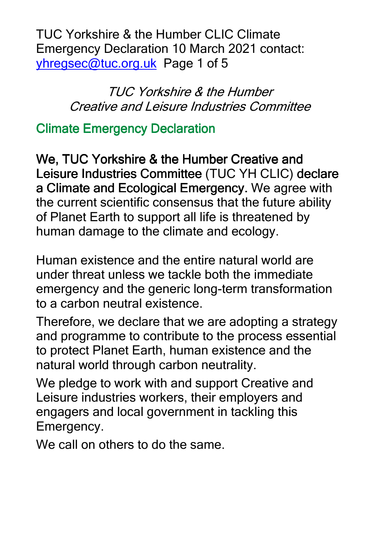TUC Yorkshire & the Humber CLIC Climate Emergency Declaration 10 March 2021 contact: yhregsec@tuc.org.uk Page 1 of 5

> TUC Yorkshire & the Humber Creative and Leisure Industries Committee

### **Climate Emergency Declaration**

We, TUC Yorkshire & the Humber Creative and Leisure Industries Committee (TUC YH CLIC) declare a Climate and Ecological Emergency. We agree with the current scientific consensus that the future ability of Planet Earth to support all life is threatened by human damage to the climate and ecology.

Human existence and the entire natural world are under threat unless we tackle both the immediate emergency and the generic long-term transformation to a carbon neutral existence.

Therefore, we declare that we are adopting a strategy and programme to contribute to the process essential to protect Planet Earth, human existence and the natural world through carbon neutrality.

We pledge to work with and support Creative and Leisure industries workers, their employers and engagers and local government in tackling this Emergency.

We call on others to do the same.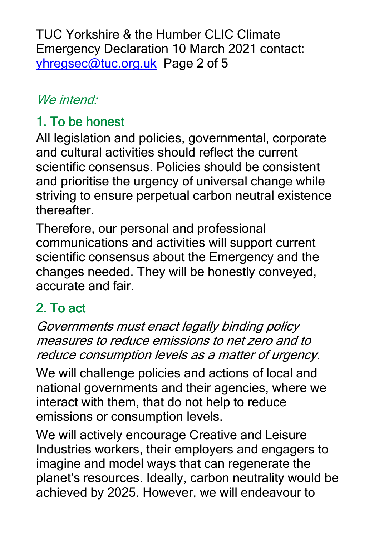TUC Yorkshire & the Humber CLIC Climate Emergency Declaration 10 March 2021 contact: yhregsec@tuc.org.uk Page 2 of 5

## We intend:

## 1. To be honest

All legislation and policies, governmental, corporate and cultural activities should reflect the current scientific consensus. Policies should be consistent and prioritise the urgency of universal change while striving to ensure perpetual carbon neutral existence **thereafter** 

Therefore, our personal and professional communications and activities will support current scientific consensus about the Emergency and the changes needed. They will be honestly conveyed, accurate and fair.

# $2.$  To act

Governments must enact legally binding policy measures to reduce emissions to net zero and to reduce consumption levels as a matter of urgency.

We will challenge policies and actions of local and national governments and their agencies, where we interact with them, that do not help to reduce emissions or consumption levels.

We will actively encourage Creative and Leisure Industries workers, their employers and engagers to imagine and model ways that can regenerate the planet's resources. Ideally, carbon neutrality would be achieved by 2025. However, we will endeavour to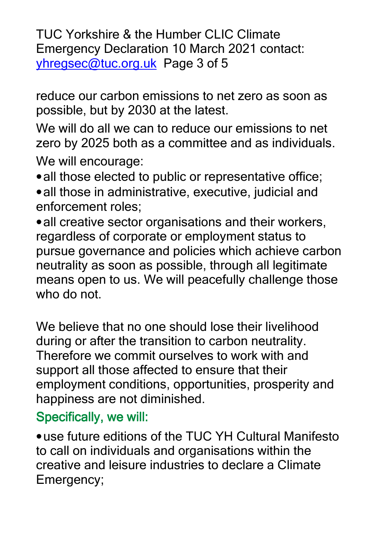TUC Yorkshire & the Humber CLIC Climate Emergency Declaration 10 March 2021 contact: yhregsec@tuc.org.uk Page 3 of 5

reduce our carbon emissions to net zero as soon as possible, but by 2030 at the latest.

We will do all we can to reduce our emissions to net zero by 2025 both as a committee and as individuals. We will encourage:

• all those elected to public or representative office;

• all those in administrative, executive, judicial and enforcement roles;

•all creative sector organisations and their workers, regardless of corporate or employment status to pursue governance and policies which achieve carbon neutrality as soon as possible, through all legitimate means open to us. We will peacefully challenge those who do not.

We believe that no one should lose their livelihood during or after the transition to carbon neutrality. Therefore we commit ourselves to work with and support all those affected to ensure that their employment conditions, opportunities, prosperity and happiness are not diminished.

### Specifically, we will:

•use future editions of the TUC YH Cultural Manifesto to call on individuals and organisations within the creative and leisure industries to declare a Climate Emergency;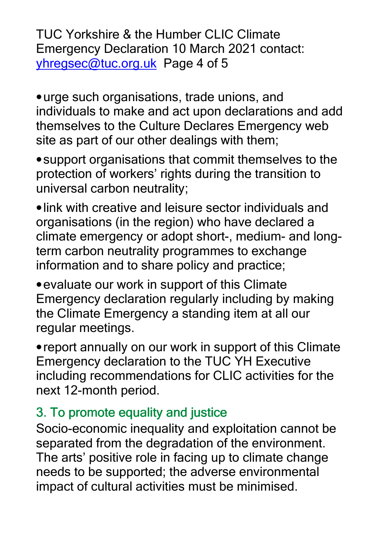TUC Yorkshire & the Humber CLIC Climate Emergency Declaration 10 March 2021 contact: yhregsec@tuc.org.uk Page 4 of 5

•urge such organisations, trade unions, and individuals to make and act upon declarations and add themselves to the Culture Declares Emergency web site as part of our other dealings with them;

•support organisations that commit themselves to the protection of workers' rights during the transition to universal carbon neutrality;

•link with creative and leisure sector individuals and organisations (in the region) who have declared a climate emergency or adopt short-, medium- and longterm carbon neutrality programmes to exchange information and to share policy and practice;

•evaluate our work in support of this Climate Emergency declaration regularly including by making the Climate Emergency a standing item at all our regular meetings.

•report annually on our work in support of this Climate Emergency declaration to the TUC YH Executive including recommendations for CLIC activities for the next 12-month period.

### 3. To promote equality and justice

Socio-economic inequality and exploitation cannot be separated from the degradation of the environment. The arts' positive role in facing up to climate change needs to be supported; the adverse environmental impact of cultural activities must be minimised.